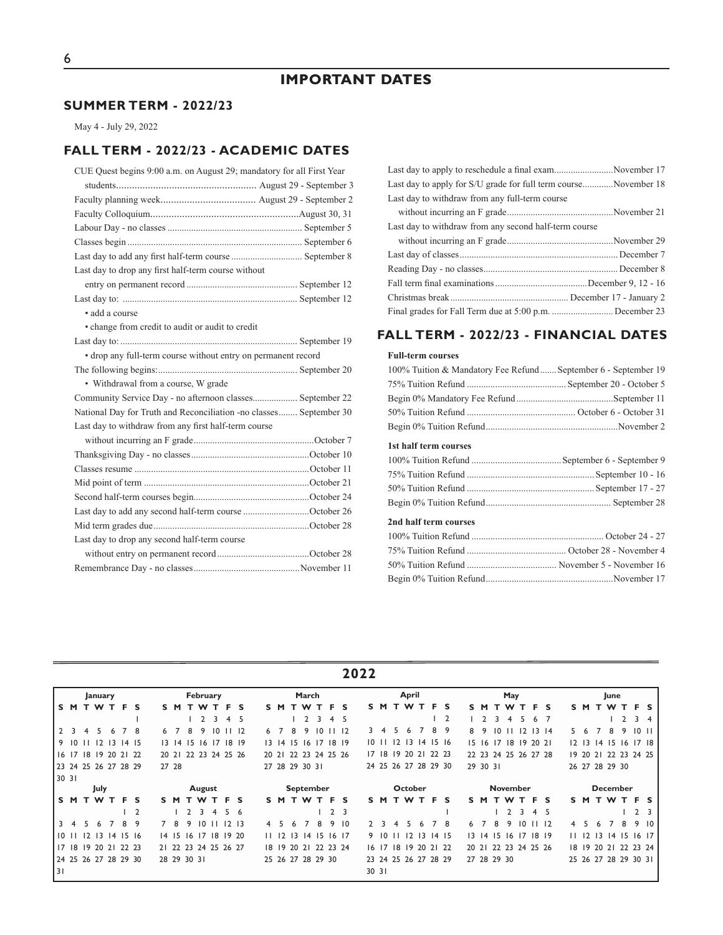# **SUMMER TERM - 2022/23**

May 4 - July 29, 2022

### **FALL TERM - 2022/23 - ACADEMIC DATES**

| CUE Quest begins 9:00 a.m. on August 29; mandatory for all First Year |
|-----------------------------------------------------------------------|
|                                                                       |
|                                                                       |
|                                                                       |
|                                                                       |
|                                                                       |
| Last day to add any first half-term course  September 8               |
| Last day to drop any first half-term course without                   |
|                                                                       |
|                                                                       |
| • add a course                                                        |
| • change from credit to audit or audit to credit                      |
|                                                                       |
| • drop any full-term course without entry on permanent record         |
|                                                                       |
| • Withdrawal from a course, W grade                                   |
| Community Service Day - no afternoon classes September 22             |
| National Day for Truth and Reconciliation -no classes September 30    |
| Last day to withdraw from any first half-term course                  |
|                                                                       |
|                                                                       |
|                                                                       |
|                                                                       |
|                                                                       |
| Last day to add any second half-term course October 26                |
|                                                                       |
| Last day to drop any second half-term course                          |
|                                                                       |
|                                                                       |
|                                                                       |

| Last day to apply to reschedule a final examNovember 17          |  |
|------------------------------------------------------------------|--|
| Last day to apply for S/U grade for full term course November 18 |  |
| Last day to withdraw from any full-term course                   |  |
|                                                                  |  |
| Last day to withdraw from any second half-term course            |  |
|                                                                  |  |
|                                                                  |  |
|                                                                  |  |
|                                                                  |  |
|                                                                  |  |
|                                                                  |  |

### **FALL TERM - 2022/23 - FINANCIAL DATES**

#### **Full-term courses**

| 100% Tuition & Mandatory Fee Refund September 6 - September 19 |
|----------------------------------------------------------------|
|                                                                |
|                                                                |
|                                                                |
|                                                                |
| 1st half term courses                                          |
|                                                                |
|                                                                |
|                                                                |
|                                                                |
| 2nd half term courses                                          |
|                                                                |
|                                                                |
|                                                                |
|                                                                |

**2022**

|       |    |                | January         |    |                      |                |       |       |                  | February        |                  |                      |               |      |               |                 | March          |      |                      |                  |               |                  |    | April           |                 |    |                      |     |    |                 |  | May             |    |                      |                      |    |               |                 | June           |                      |                |                         |
|-------|----|----------------|-----------------|----|----------------------|----------------|-------|-------|------------------|-----------------|------------------|----------------------|---------------|------|---------------|-----------------|----------------|------|----------------------|------------------|---------------|------------------|----|-----------------|-----------------|----|----------------------|-----|----|-----------------|--|-----------------|----|----------------------|----------------------|----|---------------|-----------------|----------------|----------------------|----------------|-------------------------|
| ISM.  |    |                | T W T           |    | .F                   | s              |       | S M   |                  | T W T           |                  | F.                   | s             |      | S M           |                 | T W            | т.   | F.                   | <b>S</b>         | s             | M                |    | T W             | т               | F. | <b>S</b>             | s.  | M  | т.              |  | W               | т  | F.                   | S                    |    | S M           | т               | W              |                      | F <sub>S</sub> |                         |
|       |    |                |                 |    |                      |                |       |       |                  |                 | 3                | 4                    | 5             |      |               |                 |                | 3    | 4                    | - 5              |               |                  |    |                 |                 |    | $\overline{2}$       |     |    |                 |  | 4               |    |                      |                      |    |               |                 |                |                      | 3              | $\overline{4}$          |
| 123   |    |                | 45              | -6 |                      | -8             | 6     |       | 8                | 9               | $\overline{10}$  |                      | 12            | 6    |               | 8               | 9              | 10   |                      | $\frac{1}{2}$    | 3             | -4               | 5. | 6               |                 | 8  | 9                    | 8   | -9 | $\overline{10}$ |  |                 | 12 | $\overline{13}$      | -14                  | 5. | -6            |                 | 8              | 9                    | $10$ $11$      |                         |
| 910   |    | $\mathbf{H}$   |                 |    | $12$ $13$ $14$ $15$  |                |       |       | $13 \t14 \t15$   |                 | 16 <sub>17</sub> |                      | 18 19         |      | $13 \; 14$    |                 |                |      | 15 16 17 18 19       |                  |               | 1011             |    |                 | $12$ $13$ $14$  |    | 15 <sub>16</sub>     |     |    |                 |  |                 |    | 15 16 17 18 19 20 21 |                      |    | $12 \quad 13$ |                 |                | $14$ 15 16           | $17 \t18$      |                         |
|       |    |                |                 |    | 16 17 18 19 20 21 22 |                |       | 20 21 |                  |                 |                  | 22 23 24 25 26       |               | 2021 |               |                 |                |      | 22 23 24 25 26       |                  |               | 17 <sub>18</sub> |    |                 | 19 20 21 22 23  |    |                      |     |    |                 |  |                 |    |                      | 22 23 24 25 26 27 28 |    | 19 20 21      |                 |                | 22 23 24 25          |                |                         |
|       |    |                |                 |    | 23 24 25 26 27 28 29 |                | 27 28 |       |                  |                 |                  |                      |               |      |               |                 | 27 28 29 30 31 |      |                      |                  |               |                  |    |                 |                 |    | 24 25 26 27 28 29 30 |     |    | 29 30 31        |  |                 |    |                      |                      |    |               |                 | 26 27 28 29 30 |                      |                |                         |
| 30 31 |    |                |                 |    |                      |                |       |       |                  |                 |                  |                      |               |      |               |                 |                |      |                      |                  |               |                  |    |                 |                 |    |                      |     |    |                 |  |                 |    |                      |                      |    |               |                 |                |                      |                |                         |
|       |    |                | July            |    |                      |                |       |       | <b>September</b> |                 |                  |                      |               |      |               | October         |                |      |                      |                  |               |                  |    | <b>November</b> |                 |    |                      |     |    |                 |  | <b>December</b> |    |                      |                      |    |               |                 |                |                      |                |                         |
| IS M  |    |                | T W             | т. | F.                   | s              |       | S M   |                  |                 |                  | TWTFS                |               |      |               |                 | <b>SMTWT</b>   |      |                      | F <sub>S</sub>   |               | S M              | т. | W               | T F             |    | - S                  | S M |    | T.              |  | W T             |    | F <sub>S</sub>       |                      |    | S M           |                 |                | T W T                | F <sub>S</sub> |                         |
|       |    |                |                 |    |                      | $\overline{2}$ |       |       |                  | 3               | 4                | 5.                   | -6            |      |               |                 |                |      |                      | 2 <sub>3</sub>   |               |                  |    |                 |                 |    |                      |     |    |                 |  |                 | 3  | 4 5                  |                      |    |               |                 |                |                      | $\overline{2}$ | $\overline{\mathbf{3}}$ |
| l 3   | -4 | 5              | 6               |    | 8                    | 9              |       | - 8   | 9                | $\overline{10}$ |                  |                      | $12 \quad 13$ |      |               | 6               |                | 8    | 9                    | $\overline{10}$  | $\mathcal{P}$ |                  |    | 5               | 6               |    | 8                    | 6   |    | 8               |  |                 | 10 |                      | 12                   | 4  |               | 6               |                | 8                    | 9              | $\overline{10}$         |
| 1011  |    | $\overline{2}$ | $\overline{13}$ |    | 14 15 16             |                |       |       | $14$ 15 16       |                 |                  | 17 18 19 20          |               |      | $11 \quad 12$ | $\overline{13}$ |                | 1415 |                      | 16 <sub>17</sub> |               | 9 10             |    | 12              | $\overline{13}$ |    | 1415                 |     |    | $13 \t14 \t15$  |  | 16              | 17 |                      | $18$ 19              |    | $11 \quad 12$ | $\overline{13}$ |                | $14 \; 15$           | $16$ 17        |                         |
|       |    |                |                 |    | 17 18 19 20 21 22 23 |                |       |       |                  |                 |                  | 2  22 23 24 25 26 27 |               |      |               |                 |                |      | 18 19 20 21 22 23 24 |                  |               |                  |    | 16 17 18 19     |                 |    | 20 21 22             |     |    |                 |  |                 |    | 20 21 22 23 24 25 26 |                      |    |               |                 |                | 18 19 20 21 22 23 24 |                |                         |
|       |    |                |                 |    | 24 25 26 27 28 29 30 |                |       |       | 28 29 30 31      |                 |                  |                      |               |      |               |                 |                |      | 25 26 27 28 29 30    |                  |               |                  |    |                 |                 |    | 23 24 25 26 27 28 29 |     |    | 27 28 29 30     |  |                 |    |                      |                      |    |               |                 |                | 25 26 27 28 29 30 31 |                |                         |
| 31    |    |                |                 |    |                      |                |       |       |                  |                 |                  |                      |               |      |               |                 |                |      |                      |                  | 30 31         |                  |    |                 |                 |    |                      |     |    |                 |  |                 |    |                      |                      |    |               |                 |                |                      |                |                         |